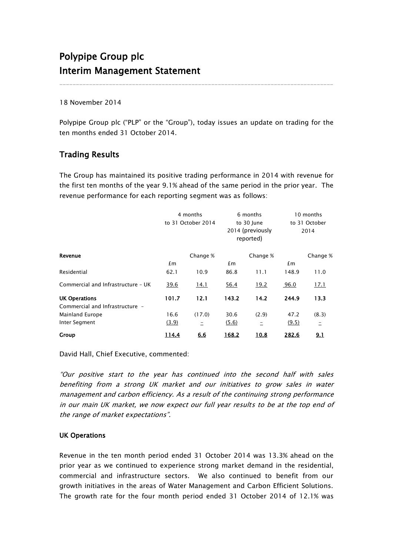# Polypipe Group plc Interim Management Statement

18 November 2014

Polypipe Group plc ("PLP" or the "Group"), today issues an update on trading for the ten months ended 31 October 2014.

\_\_\_\_\_\_\_\_\_\_\_\_\_\_\_\_\_\_\_\_\_\_\_\_\_\_\_\_\_\_\_\_\_\_\_\_\_\_\_\_\_\_\_\_\_\_\_\_\_\_\_\_\_\_\_\_\_\_\_\_\_\_\_\_\_\_\_\_\_\_\_\_\_\_\_\_\_\_\_\_\_\_\_

## Trading Results

The Group has maintained its positive trading performance in 2014 with revenue for the first ten months of the year 9.1% ahead of the same period in the prior year. The revenue performance for each reporting segment was as follows:

|                                    | 4 months<br>to 31 October 2014 |          | 6 months<br>to 30 June<br>2014 (previously<br>reported) |          | 10 months<br>to 31 October<br>2014 |          |
|------------------------------------|--------------------------------|----------|---------------------------------------------------------|----------|------------------------------------|----------|
| Revenue                            |                                | Change % |                                                         | Change % |                                    | Change % |
|                                    | £m                             |          | £m                                                      |          | £m                                 |          |
| Residential                        | 62.1                           | 10.9     | 86.8                                                    | 11.1     | 148.9                              | 11.0     |
| Commercial and Infrastructure - UK | 39.6                           | 14.1     | 56.4                                                    | 19.2     | 96.0                               | 17.1     |
| <b>UK Operations</b>               | 101.7                          | 12.1     | 143.2                                                   | 14.2     | 244.9                              | 13.3     |
| Commercial and Infrastructure -    |                                |          |                                                         |          |                                    |          |
| Mainland Europe                    | 16.6                           | (17.0)   | 30.6                                                    | (2.9)    | 47.2                               | (8.3)    |
| Inter Segment                      | (3.9)                          | $\equiv$ | (5.6)                                                   | $\equiv$ | (9.5)                              | Ξ        |
| Group                              | 114.4                          | 6.6      | 168.2                                                   | 10.8     | 282.6                              | 9.1      |

David Hall, Chief Executive, commented:

"Our positive start to the year has continued into the second half with sales benefiting from a strong UK market and our initiatives to grow sales in water management and carbon efficiency. As a result of the continuing strong performance in our main UK market, we now expect our full year results to be at the top end of the range of market expectations".

### UK Operations

Revenue in the ten month period ended 31 October 2014 was 13.3% ahead on the prior year as we continued to experience strong market demand in the residential, commercial and infrastructure sectors. We also continued to benefit from our growth initiatives in the areas of Water Management and Carbon Efficient Solutions. The growth rate for the four month period ended 31 October 2014 of 12.1% was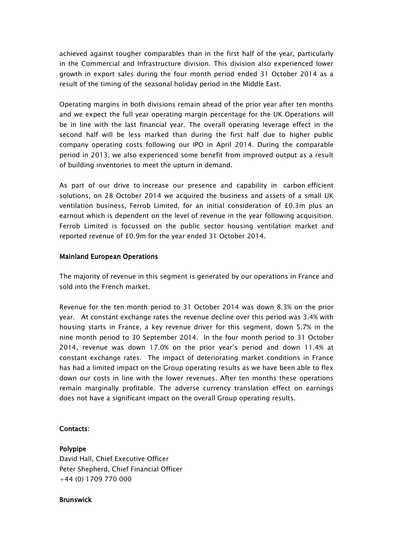achieved against tougher comparables than in the first half of the year, particularly in the Commercial and Infrastructure division. This division also experienced lower growth in export sales during the four month period ended 31 October 2014 as a result of the timing of the seasonal holiday period in the Middle East.

Operating margins in both divisions remain ahead of the prior year after ten months and we expect the full year operating margin percentage for the UK Operations will be in line with the last financial year. The overall operating leverage effect in the second half will be less marked than during the first half due to higher public company operating costs following our IPO in April 2014. During the comparable period in 2013, we also experienced some benefit from improved output as a result of building inventories to meet the upturn in demand.

As part of our drive to increase our presence and capability in carbon efficient solutions, on 28 October 2014 we acquired the business and assets of a small UK ventilation business, Ferrob Limited, for an initial consideration of £0.3m plus an earnout which is dependent on the level of revenue in the year following acquisition. Ferrob Limited is focussed on the public sector housing ventilation market and reported revenue of £0.9m for the year ended 31 October 2014.

#### Mainland European Operations

The majority of revenue in this segment is generated by our operations in France and sold into the French market.

Revenue for the ten month period to 31 October 2014 was down 8.3% on the prior year. At constant exchange rates the revenue decline over this period was 3.4% with housing starts in France, a key revenue driver for this segment, down 5.7% in the nine month period to 30 September 2014. In the four month period to 31 October 2014, revenue was down 17.0% on the prior year's period and down 11.4% at constant exchange rates. The impact of deteriorating market conditions in France has had a limited impact on the Group operating results as we have been able to flex down our costs in line with the lower revenues. After ten months these operations remain marginally profitable. The adverse currency translation effect on earnings does not have a significant impact on the overall Group operating results.

### Contacts:

### Polypipe

David Hall, Chief Executive Officer Peter Shepherd, Chief Financial Officer +44 (0) 1709 770 000

#### **Brunswick**